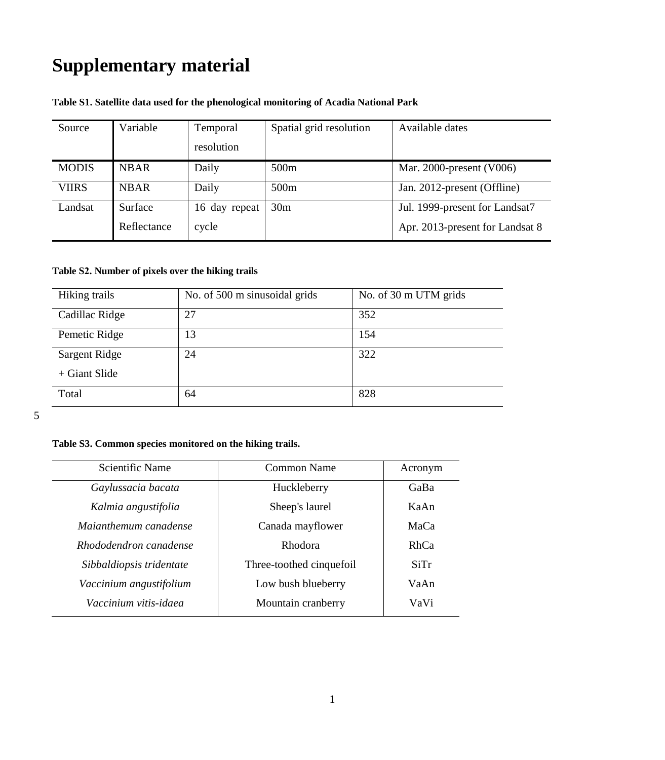## **Supplementary material**

| Source       | Variable    | Temporal      | Spatial grid resolution | Available dates                 |
|--------------|-------------|---------------|-------------------------|---------------------------------|
|              |             | resolution    |                         |                                 |
| <b>MODIS</b> | <b>NBAR</b> | Daily         | 500 <sub>m</sub>        | Mar. 2000-present $(V006)$      |
| <b>VIIRS</b> | <b>NBAR</b> | Daily         | 500 <sub>m</sub>        | Jan. 2012-present (Offline)     |
| Landsat      | Surface     | 16 day repeat | 30 <sub>m</sub>         | Jul. 1999-present for Landsat7  |
|              | Reflectance | cycle         |                         | Apr. 2013-present for Landsat 8 |

## **Table S1. Satellite data used for the phenological monitoring of Acadia National Park**

## **Table S2. Number of pixels over the hiking trails**

| Hiking trails   | No. of 500 m sinusoidal grids | No. of 30 m UTM grids |
|-----------------|-------------------------------|-----------------------|
| Cadillac Ridge  | 27                            | 352                   |
| Pemetic Ridge   | 13                            | 154                   |
| Sargent Ridge   | 24                            | 322                   |
| $+$ Giant Slide |                               |                       |
| Total           | 64                            | 828                   |

5

## **Table S3. Common species monitored on the hiking trails.**

| Scientific Name          | Common Name              | Acronym |  |
|--------------------------|--------------------------|---------|--|
| Gaylussacia bacata       | Huckleberry              | GaBa    |  |
| Kalmia angustifolia      | Sheep's laurel           | KaAn    |  |
| Maianthemum canadense    | Canada mayflower         | MaCa    |  |
| Rhododendron canadense   | Rhodora                  | RhCa    |  |
| Sibbaldiopsis tridentate | Three-toothed cinquefoil | SiTr    |  |
| Vaccinium angustifolium  | Low bush blueberry       | VaAn    |  |
| Vaccinium vitis-idaea    | Mountain cranberry       | VaVi    |  |